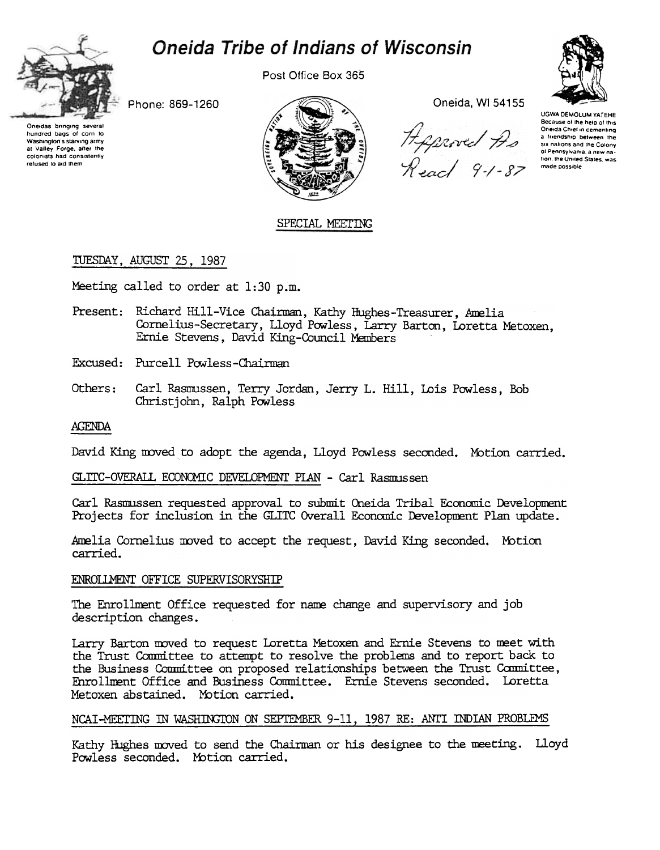# **Oneida Tribe of Indians of Wisconsin**



Post Office Box 365





Phone: 869-1260

Oneidas bringing several<br>hundred bags of corn to Washington's starving army at Valley Forge, after the<br>colonists had consistently relused to aid them



Oneida, WI 54155

Approved As<br>Read 9-1-87

**UGWA DEMOLUM YATEHE** Because of the help of this Oneida Chief in cementing a friendship between the six nations and the Colony of Pennsylvania, a new nation, the United States, was made possible

# SPECIAL MEETING

# TUESDAY, AUGUST 25, 1987

Meeting called to order at 1:30 p.m.

- Present: Richard Hill-Vice Chairman, Kathy Hughes-Treasurer, Amelia Cornelius-Secretary, Lloyd Powless, Larry Barton, Loretta Metoxen, Ernie Stevens, David King-Council Members
- Excused: Purcell Powless-Chairman
- Others: Carl Rasmussen, Terry Jordan, Jerry L. Hill, Lois Powless, Bob Christiohn, Ralph Powless

## **AGENDA**

David King moved to adopt the agenda, Lloyd Powless seconded. Motion carried.

## GLITC-OVERALL ECONOMIC DEVELOPMENT PLAN - Carl Rasmussen

Carl Rasmussen requested approval to submit Oneida Tribal Economic Development Projects for inclusion in the GLITC Overall Economic Development Plan update.

Amelia Cornelius moved to accept the request, David King seconded, Motion carried.

## ENROLLMENT OFFICE SUPERVISORYSHIP

The Enrollment Office requested for name change and supervisory and job description changes.

Larry Barton moved to request Loretta Metoxen and Ernie Stevens to meet with the Trust Committee to attempt to resolve the problems and to report back to the Business Committee on proposed relationships between the Trust Committee, Enrollment Office and Business Committee. Ernie Stevens seconded. Loretta Metoxen abstained. Motion carried.

## NCAI-MEETING IN WASHINGTON ON SEPTEMBER 9-11, 1987 RE: ANTI INDIAN PROBLEMS

Kathy Hughes moved to send the Chairman or his designee to the meeting. Lloyd Powless seconded. Motion carried.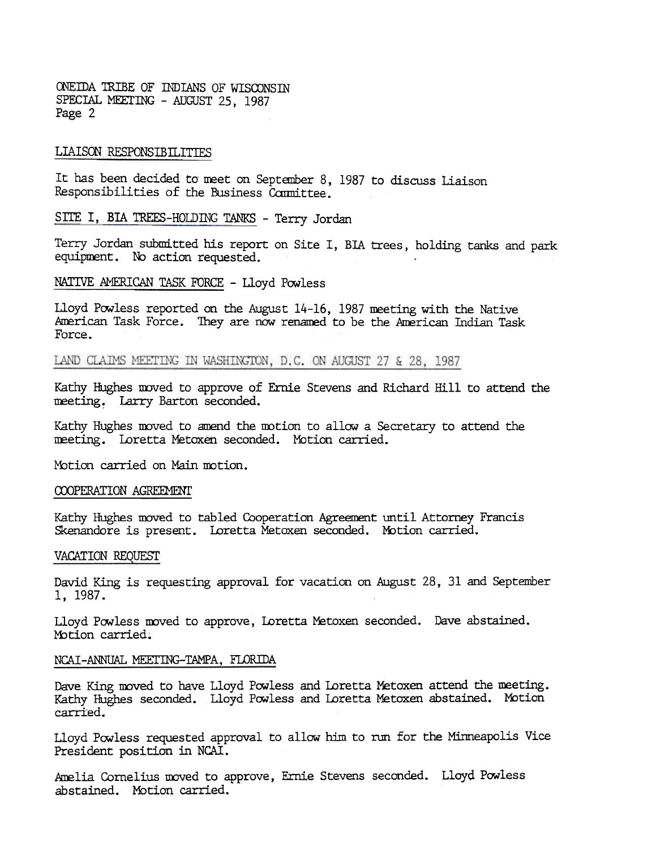ONEIDA TRIBE OF INDIANS OF WISCONSIN SPECIAL MEETING - AUGUST 25, 1987 Page 2

#### LIAISON RESPONSIBILITIES

It has been decided to meet on September 8, 1987 to discuss Liaison Responsibilities of the Business Committee.

SITE I, BIA TREES-HOLDING TANKS - Terry Jordan

Terry Jordan submitted his report on Site I, BIA trees, holding tanks and park equipment. No action requested.

NATIVE AMERICAN TASK FORCE - Lloyd Powless

Lloyd Powless reported on the August 14-16, 1987 meeting with the Native American Task Force. They are now renamed to be the American Indian Task Force.

LAND CLAIMS MEETING IN WASHINGTON, D.C. ON AUGUST 27 & 28, 1987

Kathy Hughes moved to approve of Ernie Stevens and Richard Hill to attend the meeting. Larry Barton seconded.

Kathy Hughes moved to amend the motion to allow a Secretary to attend the neeting. Loretta Metoxen seconded. Motion carried.

Motion carried on Main motion.

#### COOPERATION AGREEMENT

Kathy Hughes moved to tabled Cooperation Agreement until Attorney Francis Skenandore is present. Loretta Metoxen seconded. Motion carried.

#### VACATION REQUEsr

David King is requesting approval for vacation on August 28, 31 and September 1,1987.

Lloyd Powless moved to approve, Loretta Metoxen seconded. Dave abstaine Motion carried.

#### NCAI-ANNUAL MEETING-TAMPA, FLORIDA

Dave King moved to have Lloyd Powless and Loretta Metoxen attend the meeting. Kathy Hughes seconded. Lloyd Powless and Loretta Metoxen abstained. Motion carried.

Lloyd Powless requested approval to allow him to run for the Minneapolis Vice President position in NCAI.

Amelia Cornelius moved to approve, Ernie Stevens seconded. Lloyd Powless abstained. Motion carried.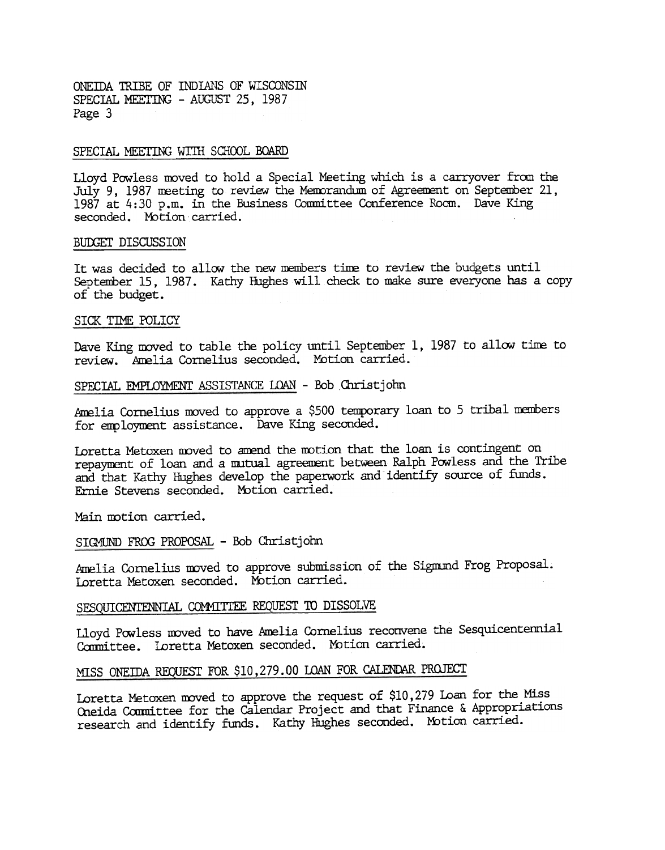ONEIDA TRIBE OF INDIANS OF WISCONSIN SPECIAL MEETING - AUGUST 25, 1987 Page 3

#### SPECIAL MEETING WITH SCHOOL BOARD

Lloyd Powless moved to hold a Special Meeting which is a carryover from the July 9, 1987 meeting to review the Memorandum of Agreement on September 21, 1987 at 4:30 p.m. in the Business Committee Conference Room. Dave King seconded. Motion carried.

#### BUDGET DISCUSSION

It was decided to allow the new members time to review the budgets until September 15. 1987. Kathy Hughes will check to make sure everyone has a copy of the budget.

#### SICK TIME POLICY

Dave King moved to table the policy until September 1, 1987 to allow time to review. Amelia Cornelius seconded. Motion carried.

#### SPECIAL EMPLOYMENT ASSISTANCE LOAN - Bob Christjohn

Amelia Cornelius moved to approve a \$500 temporary loan to 5 tribal members for employment assistance. Dave King seconded.

Loretta Metoxen moved to amend the motion that the loan is contingent on repayment of loan and a mutual agreement between Ralph Powless and the Tribe and that Kathy Hughes develop the paperwork and identify source of ftmds. Ernie Stevens seconded. Mbtion carried.

Main motion carried.

### SIGMUND FROG PROPOSAL - Bob Christjohn

Amelia Cornelius moved to approve submission of the Sigmund Frog Proposal. Ioretta Metoxen seconded. Motion carried.

# SESQUICENTENNIAL COMMITTEE REQUEST TO DISSOLVE

Lloyd Powless moved to have Amelia Cornelius reconvene the Sesquicentennial Committee. Loretta Metoxen seconded. Motion carried.

# MISS ONEIDA REQUEST FOR \$10,279.00 LOAN FOR CALENDAR PROJECT

Loretta Metoxen moved to approve the request of \$10,279 Loan for the Miss O1eida Coomittee for the Calendar Project and that Finance & Appropriations research and identify funds. Kathy Hughes seconded. Motion carried.